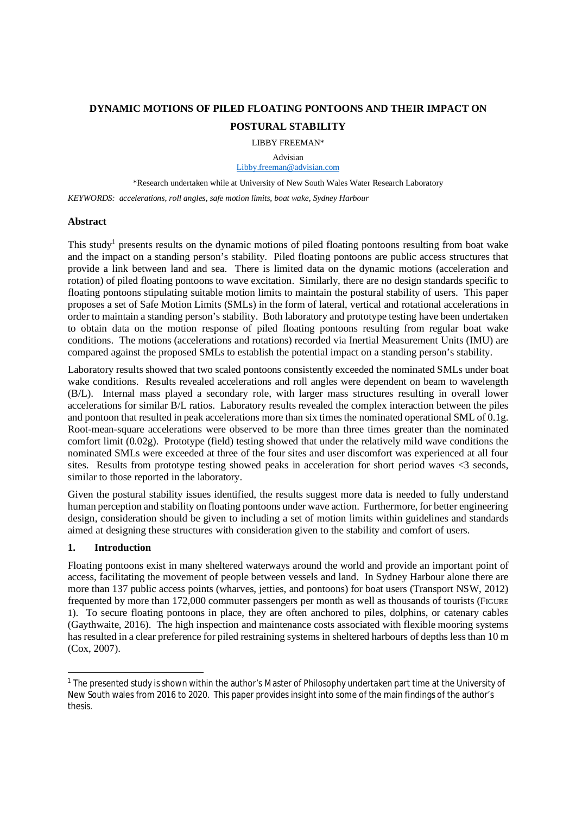# **DYNAMIC MOTIONS OF PILED FLOATING PONTOONS AND THEIR IMPACT ON POSTURAL STABILITY**

LIBBY FREEMAN\*

Advisian Libby.freeman@advisian.com

\*Research undertaken while at University of New South Wales Water Research Laboratory

*KEYWORDS: accelerations, roll angles, safe motion limits, boat wake, Sydney Harbour*

## **Abstract**

This study<sup>1</sup> presents results on the dynamic motions of piled floating pontoons resulting from boat wake and the impact on a standing person's stability. Piled floating pontoons are public access structures that provide a link between land and sea. There is limited data on the dynamic motions (acceleration and rotation) of piled floating pontoons to wave excitation. Similarly, there are no design standards specific to floating pontoons stipulating suitable motion limits to maintain the postural stability of users. This paper proposes a set of Safe Motion Limits (SMLs) in the form of lateral, vertical and rotational accelerations in order to maintain a standing person's stability. Both laboratory and prototype testing have been undertaken to obtain data on the motion response of piled floating pontoons resulting from regular boat wake conditions. The motions (accelerations and rotations) recorded via Inertial Measurement Units (IMU) are compared against the proposed SMLs to establish the potential impact on a standing person's stability.

Laboratory results showed that two scaled pontoons consistently exceeded the nominated SMLs under boat wake conditions. Results revealed accelerations and roll angles were dependent on beam to wavelength (B/L). Internal mass played a secondary role, with larger mass structures resulting in overall lower accelerations for similar B/L ratios. Laboratory results revealed the complex interaction between the piles and pontoon that resulted in peak accelerations more than six times the nominated operational SML of 0.1g. Root-mean-square accelerations were observed to be more than three times greater than the nominated comfort limit (0.02g). Prototype (field) testing showed that under the relatively mild wave conditions the nominated SMLs were exceeded at three of the four sites and user discomfort was experienced at all four sites. Results from prototype testing showed peaks in acceleration for short period waves <3 seconds, similar to those reported in the laboratory.

Given the postural stability issues identified, the results suggest more data is needed to fully understand human perception and stability on floating pontoons under wave action. Furthermore, for better engineering design, consideration should be given to including a set of motion limits within guidelines and standards aimed at designing these structures with consideration given to the stability and comfort of users.

# **1. Introduction**

Floating pontoons exist in many sheltered waterways around the world and provide an important point of access, facilitating the movement of people between vessels and land. In Sydney Harbour alone there are more than 137 public access points (wharves, jetties, and pontoons) for boat users (Transport NSW, 2012) frequented by more than 172,000 commuter passengers per month as well as thousands of tourists (FIGURE 1). To secure floating pontoons in place, they are often anchored to piles, dolphins, or catenary cables (Gaythwaite, 2016). The high inspection and maintenance costs associated with flexible mooring systems has resulted in a clear preference for piled restraining systems in sheltered harbours of depths less than 10 m (Cox, 2007).

<sup>&</sup>lt;sup>1</sup> The presented study is shown within the author's Master of Philosophy undertaken part time at the University of New South wales from 2016 to 2020. This paper provides insight into some of the main findings of the author's thesis.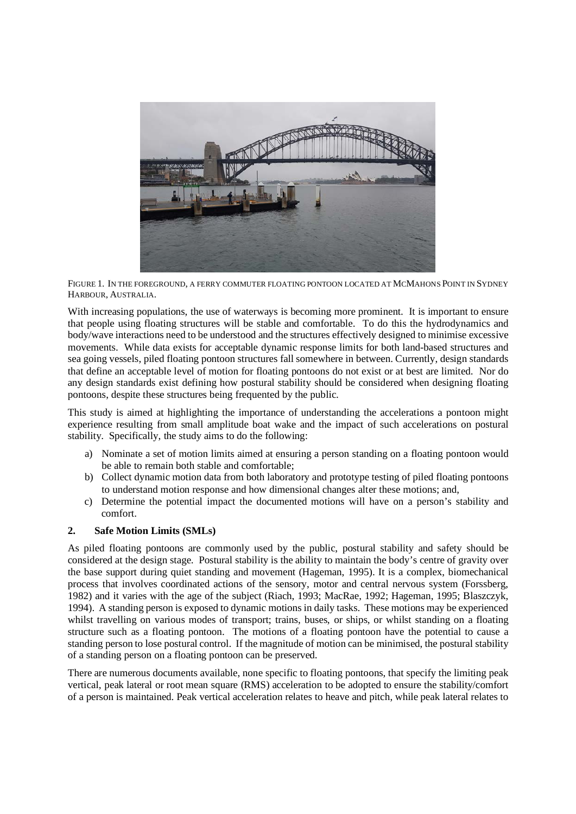

FIGURE 1. IN THE FOREGROUND, A FERRY COMMUTER FLOATING PONTOON LOCATED AT MCMAHONS POINT IN SYDNEY HARBOUR, AUSTRALIA.

With increasing populations, the use of waterways is becoming more prominent. It is important to ensure that people using floating structures will be stable and comfortable. To do this the hydrodynamics and body/wave interactions need to be understood and the structures effectively designed to minimise excessive movements. While data exists for acceptable dynamic response limits for both land-based structures and sea going vessels, piled floating pontoon structures fall somewhere in between. Currently, design standards that define an acceptable level of motion for floating pontoons do not exist or at best are limited. Nor do any design standards exist defining how postural stability should be considered when designing floating pontoons, despite these structures being frequented by the public.

This study is aimed at highlighting the importance of understanding the accelerations a pontoon might experience resulting from small amplitude boat wake and the impact of such accelerations on postural stability. Specifically, the study aims to do the following:

- a) Nominate a set of motion limits aimed at ensuring a person standing on a floating pontoon would be able to remain both stable and comfortable;
- b) Collect dynamic motion data from both laboratory and prototype testing of piled floating pontoons to understand motion response and how dimensional changes alter these motions; and,
- c) Determine the potential impact the documented motions will have on a person's stability and comfort.

# **2. Safe Motion Limits (SMLs)**

As piled floating pontoons are commonly used by the public, postural stability and safety should be considered at the design stage. Postural stability is the ability to maintain the body's centre of gravity over the base support during quiet standing and movement (Hageman, 1995). It is a complex, biomechanical process that involves coordinated actions of the sensory, motor and central nervous system (Forssberg, 1982) and it varies with the age of the subject (Riach, 1993; MacRae, 1992; Hageman, 1995; Blaszczyk, 1994). A standing person is exposed to dynamic motions in daily tasks. These motions may be experienced whilst travelling on various modes of transport; trains, buses, or ships, or whilst standing on a floating structure such as a floating pontoon. The motions of a floating pontoon have the potential to cause a standing person to lose postural control. If the magnitude of motion can be minimised, the postural stability of a standing person on a floating pontoon can be preserved.

There are numerous documents available, none specific to floating pontoons, that specify the limiting peak vertical, peak lateral or root mean square (RMS) acceleration to be adopted to ensure the stability/comfort of a person is maintained. Peak vertical acceleration relates to heave and pitch, while peak lateral relates to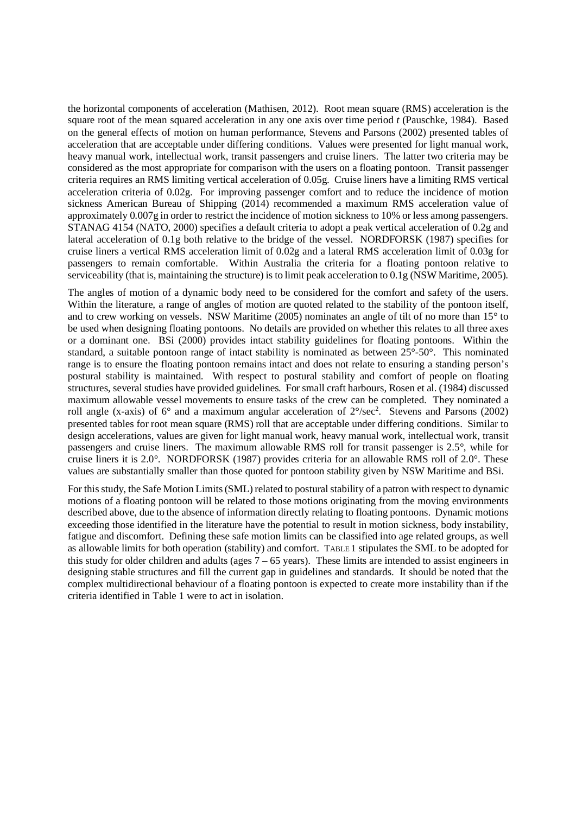the horizontal components of acceleration (Mathisen, 2012). Root mean square (RMS) acceleration is the square root of the mean squared acceleration in any one axis over time period *t* (Pauschke, 1984). Based on the general effects of motion on human performance, Stevens and Parsons (2002) presented tables of acceleration that are acceptable under differing conditions. Values were presented for light manual work, heavy manual work, intellectual work, transit passengers and cruise liners. The latter two criteria may be considered as the most appropriate for comparison with the users on a floating pontoon. Transit passenger criteria requires an RMS limiting vertical acceleration of 0.05g. Cruise liners have a limiting RMS vertical acceleration criteria of 0.02g. For improving passenger comfort and to reduce the incidence of motion sickness American Bureau of Shipping (2014) recommended a maximum RMS acceleration value of approximately 0.007g in order to restrict the incidence of motion sickness to 10% or less among passengers. STANAG 4154 (NATO, 2000) specifies a default criteria to adopt a peak vertical acceleration of 0.2g and lateral acceleration of 0.1g both relative to the bridge of the vessel. NORDFORSK (1987) specifies for cruise liners a vertical RMS acceleration limit of 0.02g and a lateral RMS acceleration limit of 0.03g for passengers to remain comfortable. Within Australia the criteria for a floating pontoon relative to serviceability (that is, maintaining the structure) is to limit peak acceleration to 0.1g (NSW Maritime, 2005).

The angles of motion of a dynamic body need to be considered for the comfort and safety of the users. Within the literature, a range of angles of motion are quoted related to the stability of the pontoon itself, and to crew working on vessels. NSW Maritime (2005) nominates an angle of tilt of no more than 15° to be used when designing floating pontoons. No details are provided on whether this relates to all three axes or a dominant one. BSi (2000) provides intact stability guidelines for floating pontoons. Within the standard, a suitable pontoon range of intact stability is nominated as between 25°-50°. This nominated range is to ensure the floating pontoon remains intact and does not relate to ensuring a standing person's postural stability is maintained. With respect to postural stability and comfort of people on floating structures, several studies have provided guidelines. For small craft harbours, Rosen et al. (1984) discussed maximum allowable vessel movements to ensure tasks of the crew can be completed. They nominated a roll angle (x-axis) of  $6^{\circ}$  and a maximum angular acceleration of  $2^{\circ}/sec^2$ . Stevens and Parsons (2002) presented tables for root mean square (RMS) roll that are acceptable under differing conditions. Similar to design accelerations, values are given for light manual work, heavy manual work, intellectual work, transit passengers and cruise liners. The maximum allowable RMS roll for transit passenger is 2.5°, while for cruise liners it is 2.0°. NORDFORSK (1987) provides criteria for an allowable RMS roll of 2.0°. These values are substantially smaller than those quoted for pontoon stability given by NSW Maritime and BSi.

For this study, the Safe Motion Limits (SML) related to postural stability of a patron with respect to dynamic motions of a floating pontoon will be related to those motions originating from the moving environments described above, due to the absence of information directly relating to floating pontoons. Dynamic motions exceeding those identified in the literature have the potential to result in motion sickness, body instability, fatigue and discomfort. Defining these safe motion limits can be classified into age related groups, as well as allowable limits for both operation (stability) and comfort. TABLE 1 stipulates the SML to be adopted for this study for older children and adults (ages  $7 - 65$  years). These limits are intended to assist engineers in designing stable structures and fill the current gap in guidelines and standards. It should be noted that the complex multidirectional behaviour of a floating pontoon is expected to create more instability than if the criteria identified in Table 1 were to act in isolation.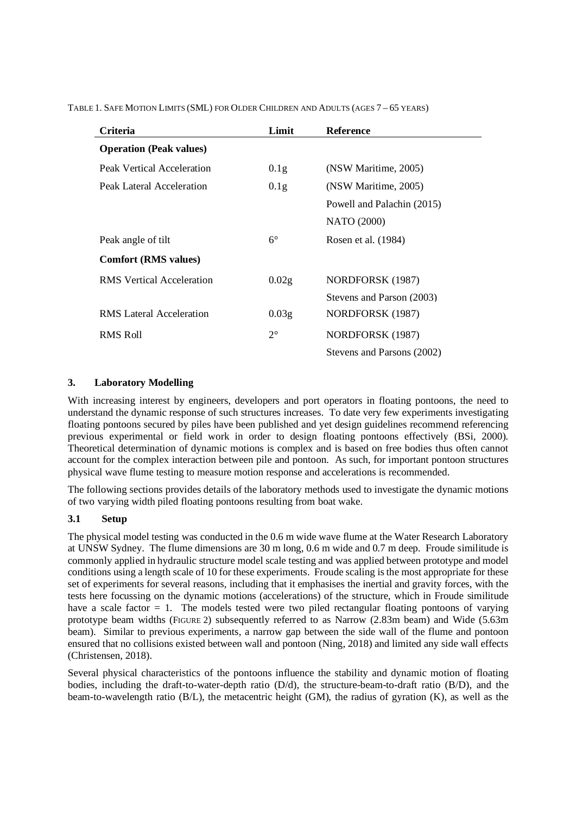| Criteria                         | Limit             | <b>Reference</b>           |
|----------------------------------|-------------------|----------------------------|
| <b>Operation (Peak values)</b>   |                   |                            |
| Peak Vertical Acceleration       | 0.1 <sub>g</sub>  | (NSW Maritime, 2005)       |
| Peak Lateral Acceleration        | 0.1 <sub>g</sub>  | (NSW Maritime, 2005)       |
|                                  |                   | Powell and Palachin (2015) |
|                                  |                   | <b>NATO</b> (2000)         |
| Peak angle of tilt               | $6^{\circ}$       | Rosen et al. (1984)        |
| <b>Comfort (RMS values)</b>      |                   |                            |
| <b>RMS</b> Vertical Acceleration | 0.02g             | NORDFORSK (1987)           |
|                                  |                   | Stevens and Parson (2003)  |
| RMS Lateral Acceleration         | 0.03 <sub>g</sub> | NORDFORSK (1987)           |
| RMS Roll                         | $2^{\circ}$       | NORDFORSK (1987)           |
|                                  |                   | Stevens and Parsons (2002) |

TABLE 1. SAFE MOTION LIMITS (SML) FOR OLDER CHILDREN AND ADULTS (AGES 7 – 65 YEARS)

# **3. Laboratory Modelling**

With increasing interest by engineers, developers and port operators in floating pontoons, the need to understand the dynamic response of such structures increases. To date very few experiments investigating floating pontoons secured by piles have been published and yet design guidelines recommend referencing previous experimental or field work in order to design floating pontoons effectively (BSi, 2000). Theoretical determination of dynamic motions is complex and is based on free bodies thus often cannot account for the complex interaction between pile and pontoon. As such, for important pontoon structures physical wave flume testing to measure motion response and accelerations is recommended.

The following sections provides details of the laboratory methods used to investigate the dynamic motions of two varying width piled floating pontoons resulting from boat wake.

## **3.1 Setup**

The physical model testing was conducted in the 0.6 m wide wave flume at the Water Research Laboratory at UNSW Sydney. The flume dimensions are 30 m long, 0.6 m wide and 0.7 m deep. Froude similitude is commonly applied in hydraulic structure model scale testing and was applied between prototype and model conditions using a length scale of 10 for these experiments. Froude scaling is the most appropriate for these set of experiments for several reasons, including that it emphasises the inertial and gravity forces, with the tests here focussing on the dynamic motions (accelerations) of the structure, which in Froude similitude have a scale factor  $= 1$ . The models tested were two piled rectangular floating pontoons of varying prototype beam widths (FIGURE 2) subsequently referred to as Narrow (2.83m beam) and Wide (5.63m beam). Similar to previous experiments, a narrow gap between the side wall of the flume and pontoon ensured that no collisions existed between wall and pontoon (Ning, 2018) and limited any side wall effects (Christensen, 2018).

Several physical characteristics of the pontoons influence the stability and dynamic motion of floating bodies, including the draft-to-water-depth ratio (D/d), the structure-beam-to-draft ratio (B/D), and the beam-to-wavelength ratio (B/L), the metacentric height (GM), the radius of gyration (K), as well as the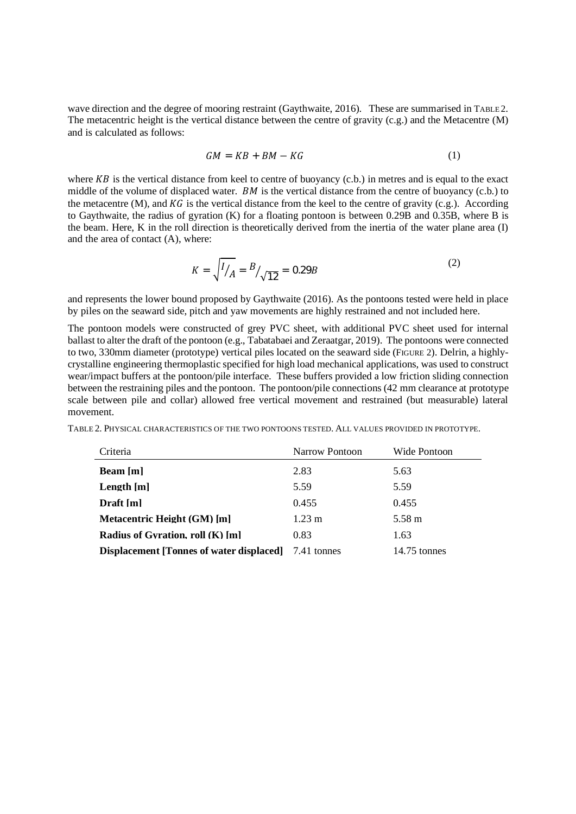wave direction and the degree of mooring restraint (Gaythwaite, 2016). These are summarised in TABLE 2. The metacentric height is the vertical distance between the centre of gravity (c.g.) and the Metacentre (M) and is calculated as follows:

$$
GM = KB + BM - KG \tag{1}
$$

where  $KB$  is the vertical distance from keel to centre of buoyancy (c.b.) in metres and is equal to the exact middle of the volume of displaced water.  $BM$  is the vertical distance from the centre of buoyancy (c.b.) to the metacentre  $(M)$ , and  $KG$  is the vertical distance from the keel to the centre of gravity (c.g.). According to Gaythwaite, the radius of gyration (K) for a floating pontoon is between 0.29B and 0.35B, where B is the beam. Here, K in the roll direction is theoretically derived from the inertia of the water plane area (I) and the area of contact (A), where:

$$
K = \sqrt{I/A} = B/\sqrt{12} = 0.29B
$$
 (2)

and represents the lower bound proposed by Gaythwaite (2016). As the pontoons tested were held in place by piles on the seaward side, pitch and yaw movements are highly restrained and not included here.

The pontoon models were constructed of grey PVC sheet, with additional PVC sheet used for internal ballast to alter the draft of the pontoon (e.g., Tabatabaei and Zeraatgar, 2019). The pontoons were connected to two, 330mm diameter (prototype) vertical piles located on the seaward side (FIGURE 2). Delrin, a highlycrystalline engineering thermoplastic specified for high load mechanical applications, was used to construct wear/impact buffers at the pontoon/pile interface. These buffers provided a low friction sliding connection between the restraining piles and the pontoon. The pontoon/pile connections (42 mm clearance at prototype scale between pile and collar) allowed free vertical movement and restrained (but measurable) lateral movement.

| Criteria                                        | Narrow Pontoon   | Wide Pontoon   |
|-------------------------------------------------|------------------|----------------|
| Beam [m]                                        | 2.83             | 5.63           |
| Length [m]                                      | 5.59             | 5.59           |
| Draft [m]                                       | 0.455            | 0.455          |
| Metacentric Height (GM) [m]                     | $1.23 \text{ m}$ | 5.58 m         |
| Radius of Gyration, roll $(K)$ [m]              | 0.83             | 1.63           |
| <b>Displacement</b> [Tonnes of water displaced] | 7.41 tonnes      | $14.75$ tonnes |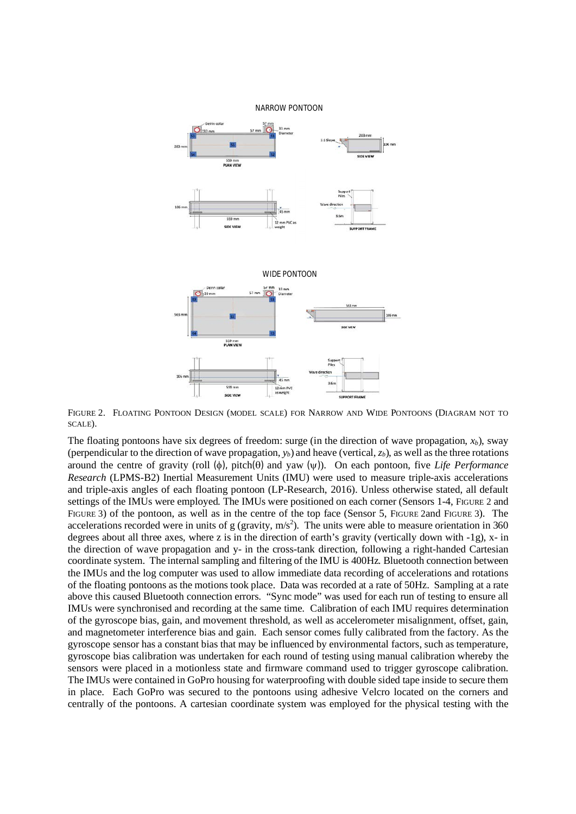

FIGURE 2. FLOATING PONTOON DESIGN (MODEL SCALE) FOR NARROW AND WIDE PONTOONS (DIAGRAM NOT TO SCALE).

The floating pontoons have six degrees of freedom: surge (in the direction of wave propagation,  $x_b$ ), sway (perpendicular to the direction of wave propagation,  $y_b$ ) and heave (vertical,  $z_b$ ), as well as the three rotations around the centre of gravity (roll  $(\phi)$ , pitch $(\theta)$  and yaw  $(\psi)$ ). On each pontoon, five *Life Performance Research* (LPMS-B2) Inertial Measurement Units (IMU) were used to measure triple-axis accelerations and triple-axis angles of each floating pontoon (LP-Research, 2016). Unless otherwise stated, all default settings of the IMUs were employed. The IMUs were positioned on each corner (Sensors 1-4, FIGURE 2 and FIGURE 3) of the pontoon, as well as in the centre of the top face (Sensor 5, FIGURE 2and FIGURE 3). The accelerations recorded were in units of g (gravity,  $m/s<sup>2</sup>$ ). The units were able to measure orientation in 360 degrees about all three axes, where z is in the direction of earth's gravity (vertically down with -1g), x- in the direction of wave propagation and y- in the cross-tank direction, following a right-handed Cartesian coordinate system. The internal sampling and filtering of the IMU is 400Hz. Bluetooth connection between the IMUs and the log computer was used to allow immediate data recording of accelerations and rotations of the floating pontoons as the motions took place. Data was recorded at a rate of 50Hz. Sampling at a rate above this caused Bluetooth connection errors. "Sync mode" was used for each run of testing to ensure all IMUs were synchronised and recording at the same time. Calibration of each IMU requires determination of the gyroscope bias, gain, and movement threshold, as well as accelerometer misalignment, offset, gain, and magnetometer interference bias and gain. Each sensor comes fully calibrated from the factory. As the gyroscope sensor has a constant bias that may be influenced by environmental factors, such as temperature, gyroscope bias calibration was undertaken for each round of testing using manual calibration whereby the sensors were placed in a motionless state and firmware command used to trigger gyroscope calibration. The IMUs were contained in GoPro housing for waterproofing with double sided tape inside to secure them in place. Each GoPro was secured to the pontoons using adhesive Velcro located on the corners and centrally of the pontoons. A cartesian coordinate system was employed for the physical testing with the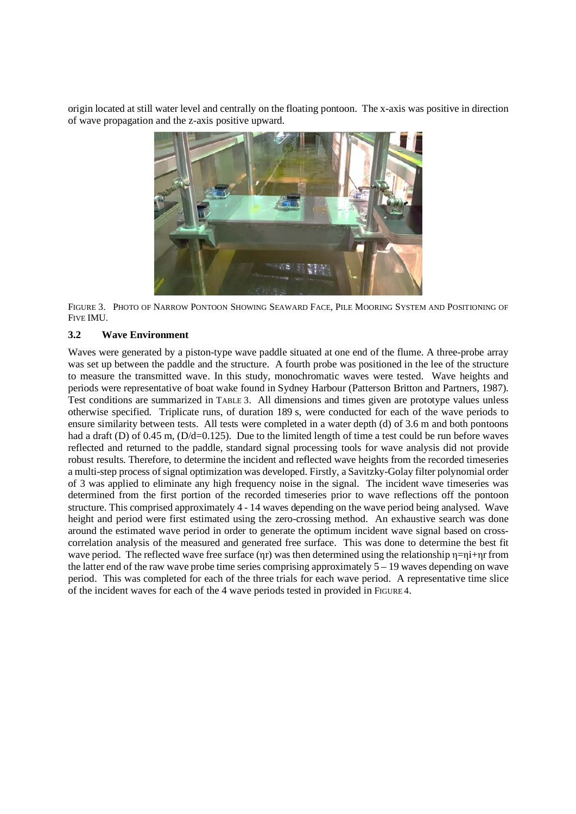origin located at still water level and centrally on the floating pontoon. The x-axis was positive in direction of wave propagation and the z-axis positive upward.



FIGURE 3. PHOTO OF NARROW PONTOON SHOWING SEAWARD FACE, PILE MOORING SYSTEM AND POSITIONING OF FIVE IMU.

## **3.2 Wave Environment**

Waves were generated by a piston-type wave paddle situated at one end of the flume. A three-probe array was set up between the paddle and the structure. A fourth probe was positioned in the lee of the structure to measure the transmitted wave. In this study, monochromatic waves were tested. Wave heights and periods were representative of boat wake found in Sydney Harbour (Patterson Britton and Partners, 1987). Test conditions are summarized in TABLE 3. All dimensions and times given are prototype values unless otherwise specified. Triplicate runs, of duration 189 s, were conducted for each of the wave periods to ensure similarity between tests. All tests were completed in a water depth (d) of 3.6 m and both pontoons had a draft (D) of 0.45 m, (D/d=0.125). Due to the limited length of time a test could be run before waves reflected and returned to the paddle, standard signal processing tools for wave analysis did not provide robust results. Therefore, to determine the incident and reflected wave heights from the recorded timeseries a multi-step process of signal optimization was developed. Firstly, a Savitzky-Golay filter polynomial order of 3 was applied to eliminate any high frequency noise in the signal. The incident wave timeseries was determined from the first portion of the recorded timeseries prior to wave reflections off the pontoon structure. This comprised approximately 4 - 14 waves depending on the wave period being analysed. Wave height and period were first estimated using the zero-crossing method. An exhaustive search was done around the estimated wave period in order to generate the optimum incident wave signal based on crosscorrelation analysis of the measured and generated free surface. This was done to determine the best fit wave period. The reflected wave free surface (ηr) was then determined using the relationship η=ηi+ηr from the latter end of the raw wave probe time series comprising approximately 5 – 19 waves depending on wave period. This was completed for each of the three trials for each wave period. A representative time slice of the incident waves for each of the 4 wave periods tested in provided in FIGURE 4.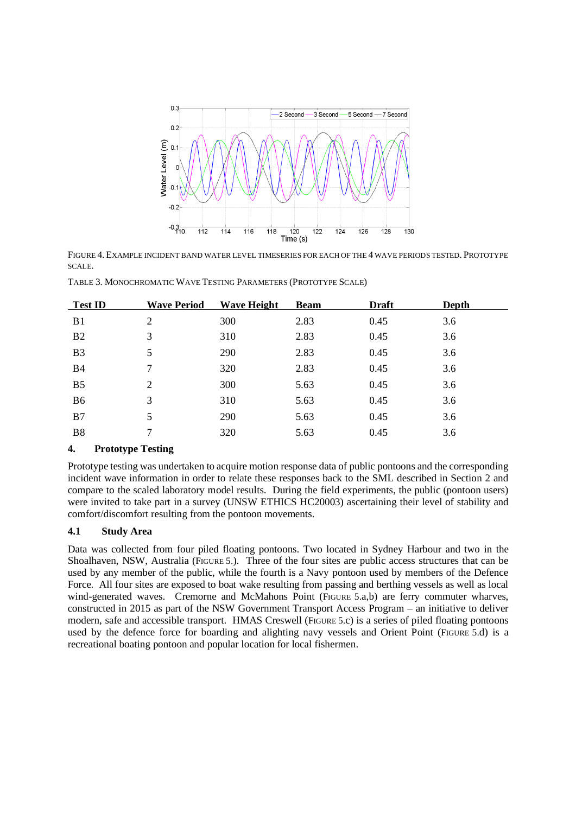

FIGURE 4. EXAMPLE INCIDENT BAND WATER LEVEL TIMESERIES FOR EACH OF THE 4 WAVE PERIODS TESTED. PROTOTYPE SCALE.

TABLE 3. MONOCHROMATIC WAVE TESTING PARAMETERS (PROTOTYPE SCALE)

| <b>Test ID</b> | <b>Wave Period</b> | <b>Wave Height</b> | <b>Beam</b> | <b>Draft</b> | <b>Depth</b> |
|----------------|--------------------|--------------------|-------------|--------------|--------------|
| B <sub>1</sub> | 2                  | 300                | 2.83        | 0.45         | 3.6          |
| B <sub>2</sub> | 3                  | 310                | 2.83        | 0.45         | 3.6          |
| B <sub>3</sub> | 5                  | 290                | 2.83        | 0.45         | 3.6          |
| <b>B4</b>      | 7                  | 320                | 2.83        | 0.45         | 3.6          |
| B <sub>5</sub> | 2                  | 300                | 5.63        | 0.45         | 3.6          |
| B <sub>6</sub> | 3                  | 310                | 5.63        | 0.45         | 3.6          |
| B <sub>7</sub> | 5                  | 290                | 5.63        | 0.45         | 3.6          |
| B <sub>8</sub> | 7                  | 320                | 5.63        | 0.45         | 3.6          |
|                |                    |                    |             |              |              |

# **4. Prototype Testing**

Prototype testing was undertaken to acquire motion response data of public pontoons and the corresponding incident wave information in order to relate these responses back to the SML described in Section 2 and compare to the scaled laboratory model results. During the field experiments, the public (pontoon users) were invited to take part in a survey (UNSW ETHICS HC20003) ascertaining their level of stability and comfort/discomfort resulting from the pontoon movements.

# **4.1 Study Area**

Data was collected from four piled floating pontoons. Two located in Sydney Harbour and two in the Shoalhaven, NSW, Australia (FIGURE 5.). Three of the four sites are public access structures that can be used by any member of the public, while the fourth is a Navy pontoon used by members of the Defence Force. All four sites are exposed to boat wake resulting from passing and berthing vessels as well as local wind-generated waves. Cremorne and McMahons Point (FIGURE 5.a,b) are ferry commuter wharves. constructed in 2015 as part of the NSW Government Transport Access Program – an initiative to deliver modern, safe and accessible transport. HMAS Creswell (FIGURE 5.c) is a series of piled floating pontoons used by the defence force for boarding and alighting navy vessels and Orient Point (FIGURE 5.d) is a recreational boating pontoon and popular location for local fishermen.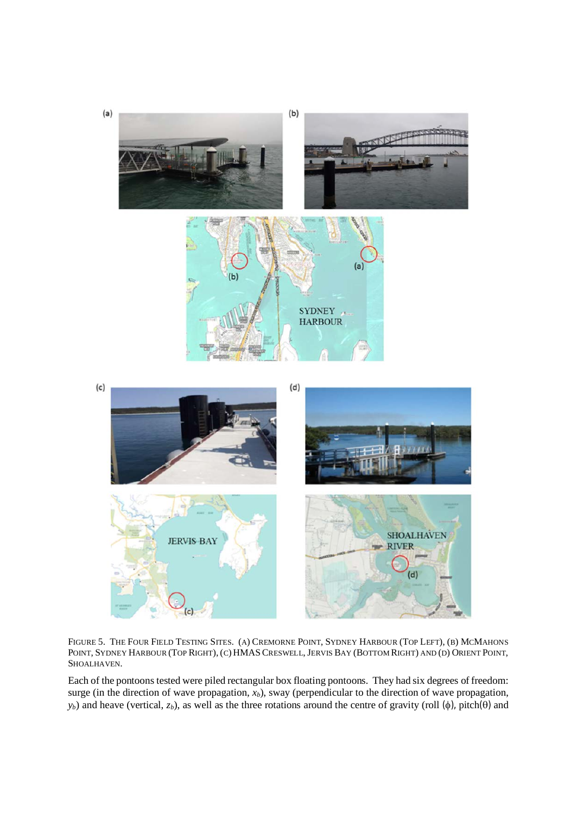

FIGURE 5. THE FOUR FIELD TESTING SITES. (A) CREMORNE POINT, SYDNEY HARBOUR (TOP LEFT), (B) MCMAHONS POINT, SYDNEY HARBOUR (TOP RIGHT), (C) HMAS CRESWELL, JERVIS BAY (BOTTOM RIGHT) AND (D) ORIENT POINT, SHOALHAVEN.

Each of the pontoons tested were piled rectangular box floating pontoons. They had six degrees of freedom: surge (in the direction of wave propagation, *xb*), sway (perpendicular to the direction of wave propagation,  $y_b$ ) and heave (vertical, *z<sub>b</sub>*), as well as the three rotations around the centre of gravity (roll  $(\phi)$ , pitch $(\theta)$ ) and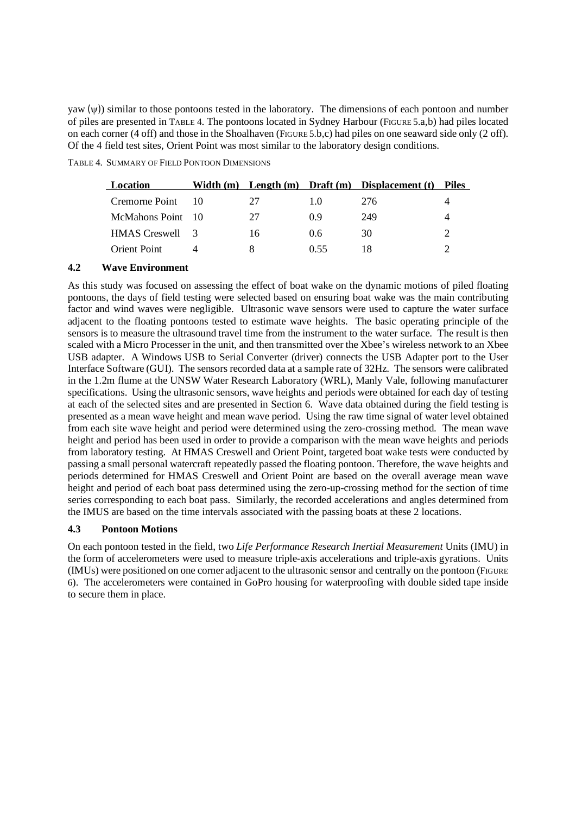yaw  $(\psi)$ ) similar to those pontoons tested in the laboratory. The dimensions of each pontoon and number of piles are presented in TABLE 4. The pontoons located in Sydney Harbour (FIGURE 5.a,b) had piles located on each corner (4 off) and those in the Shoalhaven (FIGURE 5.b,c) had piles on one seaward side only (2 off). Of the 4 field test sites, Orient Point was most similar to the laboratory design conditions.

TABLE 4. SUMMARY OF FIELD PONTOON DIMENSIONS

| Location          |    |      | Width $(m)$ Length $(m)$ Draft $(m)$ Displacement $(t)$ | <b>Piles</b> |
|-------------------|----|------|---------------------------------------------------------|--------------|
| Cremorne Point 10 | 27 | 10   | 276                                                     |              |
| McMahons Point 10 | 27 | 09   | 249                                                     |              |
| HMAS Creswell 3   | 16 | 0.6  | 30                                                      |              |
| Orient Point      | x  | 0.55 |                                                         |              |

# **4.2 Wave Environment**

As this study was focused on assessing the effect of boat wake on the dynamic motions of piled floating pontoons, the days of field testing were selected based on ensuring boat wake was the main contributing factor and wind waves were negligible. Ultrasonic wave sensors were used to capture the water surface adjacent to the floating pontoons tested to estimate wave heights. The basic operating principle of the sensors is to measure the ultrasound travel time from the instrument to the water surface. The result is then scaled with a Micro Processer in the unit, and then transmitted over the Xbee's wireless network to an Xbee USB adapter. A Windows USB to Serial Converter (driver) connects the USB Adapter port to the User Interface Software (GUI). The sensors recorded data at a sample rate of 32Hz. The sensors were calibrated in the 1.2m flume at the UNSW Water Research Laboratory (WRL), Manly Vale, following manufacturer specifications. Using the ultrasonic sensors, wave heights and periods were obtained for each day of testing at each of the selected sites and are presented in Section 6. Wave data obtained during the field testing is presented as a mean wave height and mean wave period. Using the raw time signal of water level obtained from each site wave height and period were determined using the zero-crossing method. The mean wave height and period has been used in order to provide a comparison with the mean wave heights and periods from laboratory testing. At HMAS Creswell and Orient Point, targeted boat wake tests were conducted by passing a small personal watercraft repeatedly passed the floating pontoon. Therefore, the wave heights and periods determined for HMAS Creswell and Orient Point are based on the overall average mean wave height and period of each boat pass determined using the zero-up-crossing method for the section of time series corresponding to each boat pass. Similarly, the recorded accelerations and angles determined from the IMUS are based on the time intervals associated with the passing boats at these 2 locations.

# **4.3 Pontoon Motions**

On each pontoon tested in the field, two *Life Performance Research Inertial Measurement* Units (IMU) in the form of accelerometers were used to measure triple-axis accelerations and triple-axis gyrations. Units (IMUs) were positioned on one corner adjacent to the ultrasonic sensor and centrally on the pontoon (FIGURE 6). The accelerometers were contained in GoPro housing for waterproofing with double sided tape inside to secure them in place.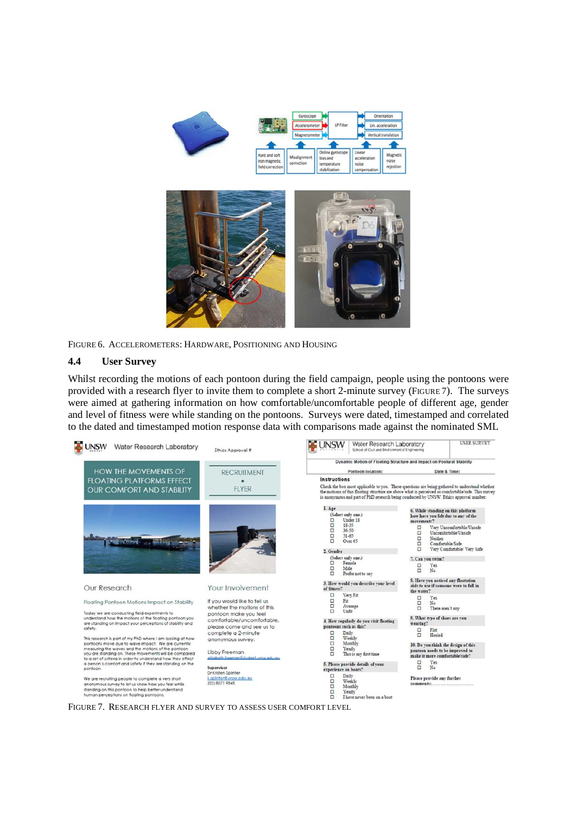

FIGURE 6. ACCELEROMETERS: HARDWARE, POSITIONING AND HOUSING

# **4.4 User Survey**

Whilst recording the motions of each pontoon during the field campaign, people using the pontoons were provided with a research flyer to invite them to complete a short 2-minute survey (FIGURE 7). The surveys were aimed at gathering information on how comfortable/uncomfortable people of different age, gender and level of fitness were while standing on the pontoons. Surveys were dated, timestamped and correlated to the dated and timestamped motion response data with comparisons made against the nominated SML

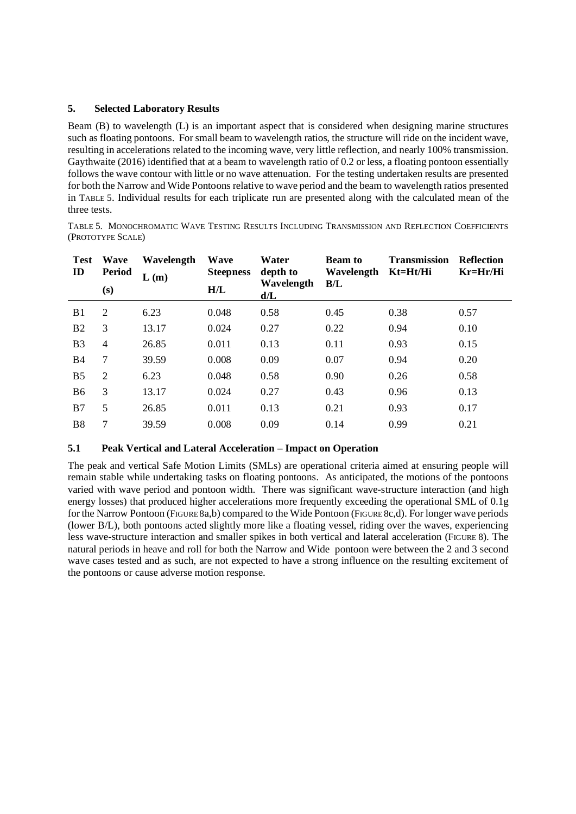## **5. Selected Laboratory Results**

Beam (B) to wavelength (L) is an important aspect that is considered when designing marine structures such as floating pontoons. For small beam to wavelength ratios, the structure will ride on the incident wave, resulting in accelerations related to the incoming wave, very little reflection, and nearly 100% transmission. Gaythwaite (2016) identified that at a beam to wavelength ratio of 0.2 or less, a floating pontoon essentially follows the wave contour with little or no wave attenuation. For the testing undertaken results are presented for both the Narrow and Wide Pontoons relative to wave period and the beam to wavelength ratios presented in TABLE 5. Individual results for each triplicate run are presented along with the calculated mean of the three tests.

TABLE 5. MONOCHROMATIC WAVE TESTING RESULTS INCLUDING TRANSMISSION AND REFLECTION COEFFICIENTS (PROTOTYPE SCALE)

| <b>Test</b><br>ID | <b>Wave</b><br><b>Period</b><br>(s) | Wavelength<br>L(m) | <b>Wave</b><br><b>Steepness</b><br>H/L | Water<br>depth to<br>Wavelength<br>d/L | <b>Beam to</b><br>Wavelength<br>B/L | <b>Transmission</b><br>Kt=Ht/Hi | <b>Reflection</b><br>Kr=Hr/Hi |
|-------------------|-------------------------------------|--------------------|----------------------------------------|----------------------------------------|-------------------------------------|---------------------------------|-------------------------------|
| B <sub>1</sub>    | 2                                   | 6.23               | 0.048                                  | 0.58                                   | 0.45                                | 0.38                            | 0.57                          |
| B <sub>2</sub>    | 3                                   | 13.17              | 0.024                                  | 0.27                                   | 0.22                                | 0.94                            | 0.10                          |
| B <sub>3</sub>    | $\overline{4}$                      | 26.85              | 0.011                                  | 0.13                                   | 0.11                                | 0.93                            | 0.15                          |
| B4                | 7                                   | 39.59              | 0.008                                  | 0.09                                   | 0.07                                | 0.94                            | 0.20                          |
| B <sub>5</sub>    | 2                                   | 6.23               | 0.048                                  | 0.58                                   | 0.90                                | 0.26                            | 0.58                          |
| B <sub>6</sub>    | 3                                   | 13.17              | 0.024                                  | 0.27                                   | 0.43                                | 0.96                            | 0.13                          |
| B7                | 5                                   | 26.85              | 0.011                                  | 0.13                                   | 0.21                                | 0.93                            | 0.17                          |
| <b>B8</b>         | 7                                   | 39.59              | 0.008                                  | 0.09                                   | 0.14                                | 0.99                            | 0.21                          |

# **5.1 Peak Vertical and Lateral Acceleration – Impact on Operation**

The peak and vertical Safe Motion Limits (SMLs) are operational criteria aimed at ensuring people will remain stable while undertaking tasks on floating pontoons. As anticipated, the motions of the pontoons varied with wave period and pontoon width. There was significant wave-structure interaction (and high energy losses) that produced higher accelerations more frequently exceeding the operational SML of 0.1g for the Narrow Pontoon (FIGURE 8a,b) compared to the Wide Pontoon (FIGURE 8c,d). For longer wave periods (lower B/L), both pontoons acted slightly more like a floating vessel, riding over the waves, experiencing less wave-structure interaction and smaller spikes in both vertical and lateral acceleration (FIGURE 8). The natural periods in heave and roll for both the Narrow and Wide pontoon were between the 2 and 3 second wave cases tested and as such, are not expected to have a strong influence on the resulting excitement of the pontoons or cause adverse motion response.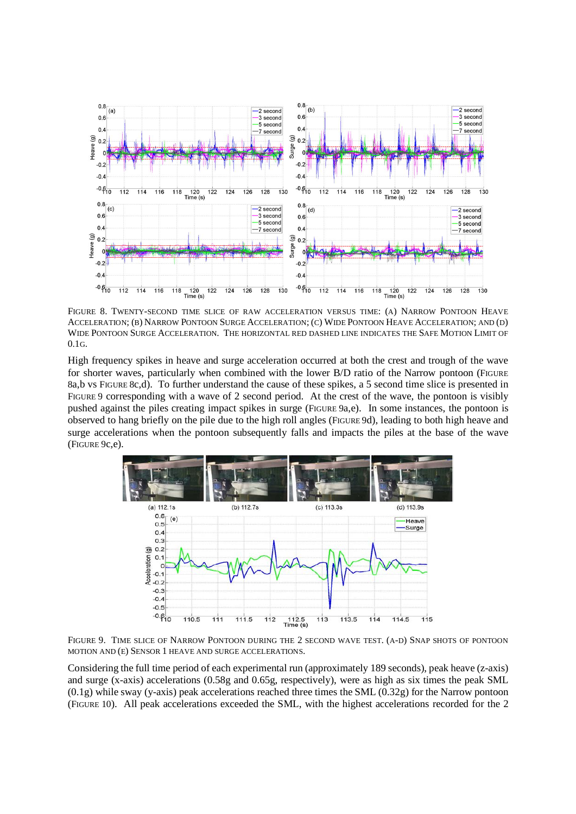

FIGURE 8. TWENTY-SECOND TIME SLICE OF RAW ACCELERATION VERSUS TIME: (A) NARROW PONTOON HEAVE ACCELERATION; (B) NARROW PONTOON SURGE ACCELERATION; (C) WIDE PONTOON HEAVE ACCELERATION; AND (D) WIDE PONTOON SURGE ACCELERATION. THE HORIZONTAL RED DASHED LINE INDICATES THE SAFE MOTION LIMIT OF 0.1G.

High frequency spikes in heave and surge acceleration occurred at both the crest and trough of the wave for shorter waves, particularly when combined with the lower B/D ratio of the Narrow pontoon (FIGURE 8a,b vs FIGURE 8c,d). To further understand the cause of these spikes, a 5 second time slice is presented in FIGURE 9 corresponding with a wave of 2 second period. At the crest of the wave, the pontoon is visibly pushed against the piles creating impact spikes in surge (FIGURE 9a,e). In some instances, the pontoon is observed to hang briefly on the pile due to the high roll angles (FIGURE 9d), leading to both high heave and surge accelerations when the pontoon subsequently falls and impacts the piles at the base of the wave (FIGURE 9c,e).



FIGURE 9. TIME SLICE OF NARROW PONTOON DURING THE 2 SECOND WAVE TEST. (A-D) SNAP SHOTS OF PONTOON MOTION AND (E) SENSOR 1 HEAVE AND SURGE ACCELERATIONS.

Considering the full time period of each experimental run (approximately 189 seconds), peak heave (z-axis) and surge (x-axis) accelerations (0.58g and 0.65g, respectively), were as high as six times the peak SML  $(0.1g)$  while sway (y-axis) peak accelerations reached three times the SML  $(0.32g)$  for the Narrow pontoon (FIGURE 10). All peak accelerations exceeded the SML, with the highest accelerations recorded for the 2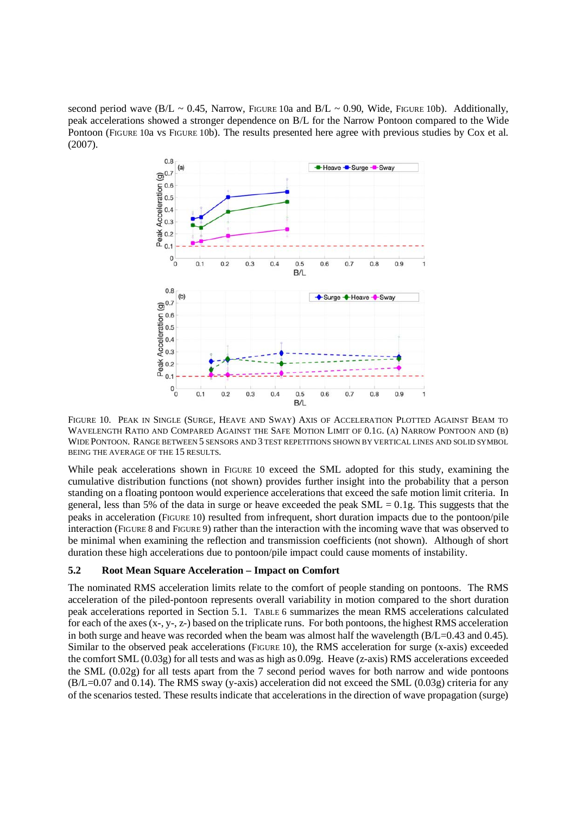second period wave (B/L ~ 0.45, Narrow, FIGURE 10a and B/L ~ 0.90, Wide, FIGURE 10b). Additionally, peak accelerations showed a stronger dependence on B/L for the Narrow Pontoon compared to the Wide Pontoon (FIGURE 10a vs FIGURE 10b). The results presented here agree with previous studies by Cox et al. (2007).



FIGURE 10. PEAK IN SINGLE (SURGE, HEAVE AND SWAY) AXIS OF ACCELERATION PLOTTED AGAINST BEAM TO WAVELENGTH RATIO AND COMPARED AGAINST THE SAFE MOTION LIMIT OF 0.1G. (A) NARROW PONTOON AND (B) WIDE PONTOON. RANGE BETWEEN 5 SENSORS AND 3 TEST REPETITIONS SHOWN BY VERTICAL LINES AND SOLID SYMBOL BEING THE AVERAGE OF THE 15 RESULTS.

While peak accelerations shown in FIGURE 10 exceed the SML adopted for this study, examining the cumulative distribution functions (not shown) provides further insight into the probability that a person standing on a floating pontoon would experience accelerations that exceed the safe motion limit criteria. In general, less than 5% of the data in surge or heave exceeded the peak  $SML = 0.1g$ . This suggests that the peaks in acceleration (FIGURE 10) resulted from infrequent, short duration impacts due to the pontoon/pile interaction (FIGURE 8 and FIGURE 9) rather than the interaction with the incoming wave that was observed to be minimal when examining the reflection and transmission coefficients (not shown). Although of short duration these high accelerations due to pontoon/pile impact could cause moments of instability.

## **5.2 Root Mean Square Acceleration – Impact on Comfort**

The nominated RMS acceleration limits relate to the comfort of people standing on pontoons. The RMS acceleration of the piled-pontoon represents overall variability in motion compared to the short duration peak accelerations reported in Section 5.1. TABLE 6 summarizes the mean RMS accelerations calculated for each of the axes (x-, y-, z-) based on the triplicate runs. For both pontoons, the highest RMS acceleration in both surge and heave was recorded when the beam was almost half the wavelength (B/L=0.43 and 0.45). Similar to the observed peak accelerations (FIGURE 10), the RMS acceleration for surge (x-axis) exceeded the comfort SML (0.03g) for all tests and was as high as 0.09g. Heave (z-axis) RMS accelerations exceeded the SML (0.02g) for all tests apart from the 7 second period waves for both narrow and wide pontoons  $(B/L=0.07$  and 0.14). The RMS sway (y-axis) acceleration did not exceed the SML (0.03g) criteria for any of the scenarios tested. These results indicate that accelerations in the direction of wave propagation (surge)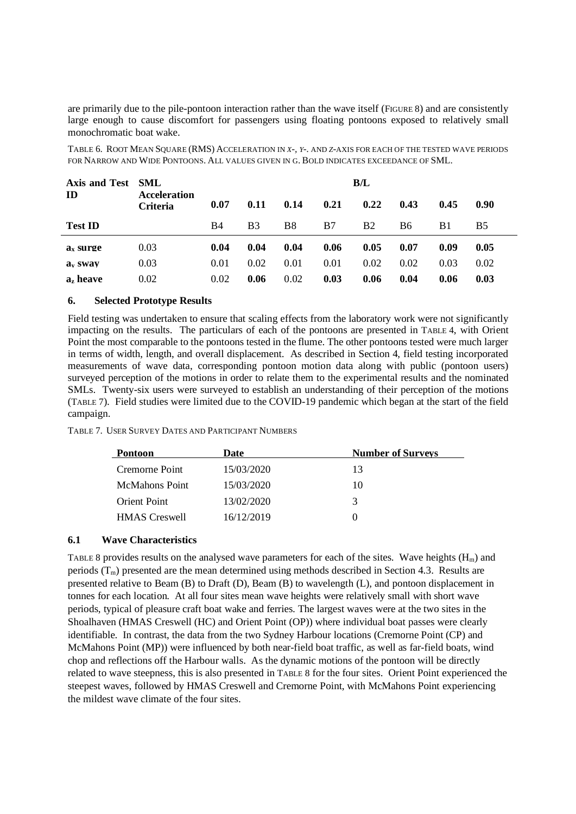are primarily due to the pile-pontoon interaction rather than the wave itself (FIGURE 8) and are consistently large enough to cause discomfort for passengers using floating pontoons exposed to relatively small monochromatic boat wake.

TABLE 6. ROOT MEAN SQUARE (RMS) ACCELERATION IN *X-, Y-.* AND *Z*-AXIS FOR EACH OF THE TESTED WAVE PERIODS FOR NARROW AND WIDE PONTOONS. ALL VALUES GIVEN IN G. BOLD INDICATES EXCEEDANCE OF SML.

| Axis and Test SML   |                          | B/L  |                |      |      |           |      |      |                   |
|---------------------|--------------------------|------|----------------|------|------|-----------|------|------|-------------------|
| ID                  | Acceleration<br>Criteria | 0.07 | 0.11           | 0.14 | 0.21 | 0.22      | 0.43 | 0.45 | 0.90 <sub>l</sub> |
| <b>Test ID</b>      |                          | B4   | B <sub>3</sub> | B8   | B7   | <b>B2</b> | B6   | B1   | <b>B5</b>         |
| $ax$ surge          | 0.03                     | 0.04 | 0.04           | 0.04 | 0.06 | 0.05      | 0.07 | 0.09 | 0.05              |
| a <sub>v</sub> swav | 0.03                     | 0.01 | 0.02           | 0.01 | 0.01 | 0.02      | 0.02 | 0.03 | 0.02              |
| $a_z$ heave         | 0.02                     | 0.02 | 0.06           | 0.02 | 0.03 | 0.06      | 0.04 | 0.06 | 0.03              |

## **6. Selected Prototype Results**

Field testing was undertaken to ensure that scaling effects from the laboratory work were not significantly impacting on the results. The particulars of each of the pontoons are presented in TABLE 4, with Orient Point the most comparable to the pontoons tested in the flume. The other pontoons tested were much larger in terms of width, length, and overall displacement. As described in Section 4, field testing incorporated measurements of wave data, corresponding pontoon motion data along with public (pontoon users) surveyed perception of the motions in order to relate them to the experimental results and the nominated SMLs. Twenty-six users were surveyed to establish an understanding of their perception of the motions (TABLE 7). Field studies were limited due to the COVID-19 pandemic which began at the start of the field campaign.

TABLE 7. USER SURVEY DATES AND PARTICIPANT NUMBERS

| Pontoon               | Date       | <b>Number of Surveys</b> |
|-----------------------|------------|--------------------------|
| Cremorne Point        | 15/03/2020 | 13                       |
| <b>McMahons</b> Point | 15/03/2020 | 10                       |
| <b>Orient Point</b>   | 13/02/2020 | 2                        |
| <b>HMAS</b> Creswell  | 16/12/2019 |                          |

# **6.1 Wave Characteristics**

TABLE 8 provides results on the analysed wave parameters for each of the sites. Wave heights  $(H_m)$  and periods  $(T_m)$  presented are the mean determined using methods described in Section 4.3. Results are presented relative to Beam (B) to Draft (D), Beam (B) to wavelength (L), and pontoon displacement in tonnes for each location. At all four sites mean wave heights were relatively small with short wave periods, typical of pleasure craft boat wake and ferries. The largest waves were at the two sites in the Shoalhaven (HMAS Creswell (HC) and Orient Point (OP)) where individual boat passes were clearly identifiable. In contrast, the data from the two Sydney Harbour locations (Cremorne Point (CP) and McMahons Point (MP)) were influenced by both near-field boat traffic, as well as far-field boats, wind chop and reflections off the Harbour walls. As the dynamic motions of the pontoon will be directly related to wave steepness, this is also presented in TABLE 8 for the four sites. Orient Point experienced the steepest waves, followed by HMAS Creswell and Cremorne Point, with McMahons Point experiencing the mildest wave climate of the four sites.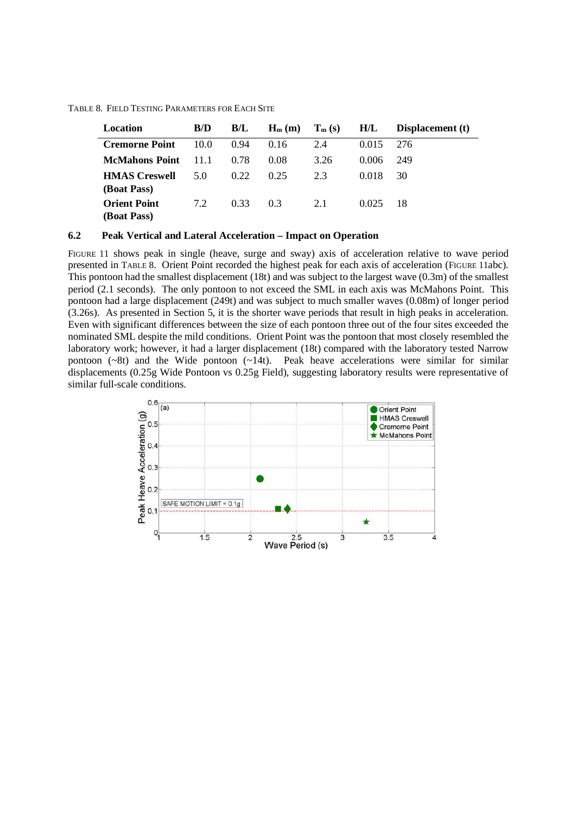TABLE 8. FIELD TESTING PARAMETERS FOR EACH SITE

| Location                                  | B/D  | B/L  | $H_m(m)$ | $T_m(s)$ | H/L   | Displacement (t) |
|-------------------------------------------|------|------|----------|----------|-------|------------------|
| <b>Cremorne Point</b>                     | 10.0 | 0.94 | 0.16     | 2.4      | 0.015 | 276              |
| <b>McMahons Point</b>                     | 11.1 | 0.78 | 0.08     | 3.26     | 0.006 | 249              |
| <b>HMAS</b> Creswell<br>(Boat Pass)       | 5.0  | 0.22 | 0.25     | 2.3      | 0.018 | 30               |
| <b>Orient Point</b><br><b>(Boat Pass)</b> | 7.2  | 0.33 | 0.3      | 2.1      | 0.025 | 18               |

#### **6.2 Peak Vertical and Lateral Acceleration – Impact on Operation**

FIGURE 11 shows peak in single (heave, surge and sway) axis of acceleration relative to wave period presented in TABLE 8. Orient Point recorded the highest peak for each axis of acceleration (FIGURE 11abc). This pontoon had the smallest displacement (18t) and was subject to the largest wave (0.3m) of the smallest period (2.1 seconds). The only pontoon to not exceed the SML in each axis was McMahons Point. This pontoon had a large displacement (249t) and was subject to much smaller waves (0.08m) of longer period (3.26s). As presented in Section 5, it is the shorter wave periods that result in high peaks in acceleration. Even with significant differences between the size of each pontoon three out of the four sites exceeded the nominated SML despite the mild conditions. Orient Point was the pontoon that most closely resembled the laboratory work; however, it had a larger displacement (18t) compared with the laboratory tested Narrow pontoon  $(-8t)$  and the Wide pontoon  $(-14t)$ . Peak heave accelerations were similar for similar displacements (0.25g Wide Pontoon vs 0.25g Field), suggesting laboratory results were representative of similar full-scale conditions.

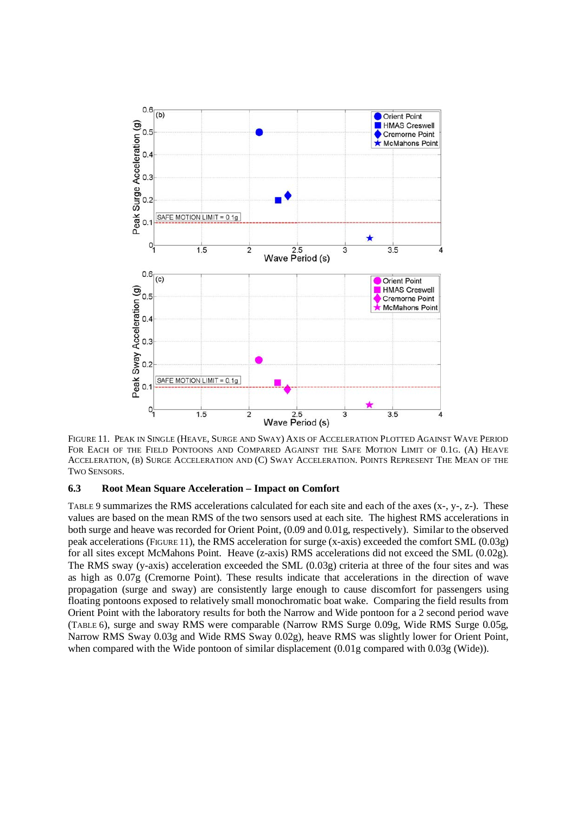

FIGURE 11. PEAK IN SINGLE (HEAVE, SURGE AND SWAY) AXIS OF ACCELERATION PLOTTED AGAINST WAVE PERIOD FOR EACH OF THE FIELD PONTOONS AND COMPARED AGAINST THE SAFE MOTION LIMIT OF 0.1G. (A) HEAVE ACCELERATION, (B) SURGE ACCELERATION AND (C) SWAY ACCELERATION. POINTS REPRESENT THE MEAN OF THE TWO SENSORS.

## **6.3 Root Mean Square Acceleration – Impact on Comfort**

TABLE 9 summarizes the RMS accelerations calculated for each site and each of the axes (x-, y-, z-). These values are based on the mean RMS of the two sensors used at each site. The highest RMS accelerations in both surge and heave was recorded for Orient Point, (0.09 and 0.01g, respectively). Similar to the observed peak accelerations (FIGURE 11), the RMS acceleration for surge (x-axis) exceeded the comfort SML (0.03g) for all sites except McMahons Point. Heave (z-axis) RMS accelerations did not exceed the SML (0.02g). The RMS sway (y-axis) acceleration exceeded the SML (0.03g) criteria at three of the four sites and was as high as 0.07g (Cremorne Point). These results indicate that accelerations in the direction of wave propagation (surge and sway) are consistently large enough to cause discomfort for passengers using floating pontoons exposed to relatively small monochromatic boat wake. Comparing the field results from Orient Point with the laboratory results for both the Narrow and Wide pontoon for a 2 second period wave (TABLE 6), surge and sway RMS were comparable (Narrow RMS Surge 0.09g, Wide RMS Surge 0.05g, Narrow RMS Sway 0.03g and Wide RMS Sway 0.02g), heave RMS was slightly lower for Orient Point, when compared with the Wide pontoon of similar displacement  $(0.01g$  compared with 0.03g (Wide)).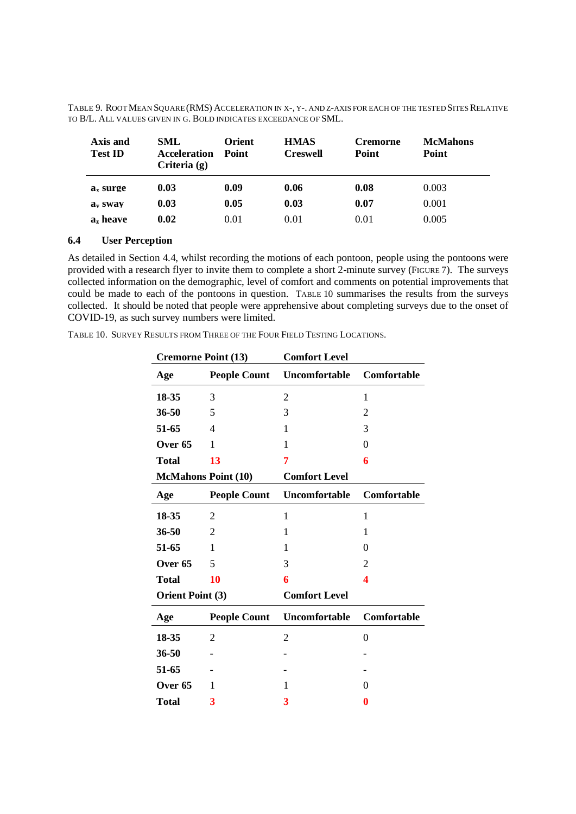| Axis and<br><b>Test ID</b> | SML<br><b>Acceleration</b><br>Criteria $(g)$ | <b>Orient</b><br>Point | <b>HMAS</b><br><b>Creswell</b> | <b>Cremorne</b><br>Point | <b>McMahons</b><br>Point |
|----------------------------|----------------------------------------------|------------------------|--------------------------------|--------------------------|--------------------------|
| a <sub>x</sub> surge       | 0.03                                         | 0.09                   | 0.06                           | 0.08                     | 0.003                    |
| a <sub>v</sub> swav        | 0.03                                         | 0.05                   | 0.03                           | 0.07                     | 0.001                    |
| a, heave                   | 0.02                                         | 0.01                   | 0.01                           | 0.01                     | 0.005                    |

TABLE 9. ROOT MEAN SQUARE (RMS) ACCELERATION IN X-, Y-. AND Z-AXIS FOR EACH OF THE TESTED SITES RELATIVE TO B/L. ALL VALUES GIVEN IN G. BOLD INDICATES EXCEEDANCE OF SML.

# **6.4 User Perception**

As detailed in Section 4.4, whilst recording the motions of each pontoon, people using the pontoons were provided with a research flyer to invite them to complete a short 2-minute survey (FIGURE 7). The surveys collected information on the demographic, level of comfort and comments on potential improvements that conceive information on the comegnipme, even of connecte and comments on potential inprovements that could be made to each of the pontoons in question. Table 10 summarises the results from the surveys collected. It should be noted that people were apprehensive about completing surveys due to the onset of COVID-19, as such survey numbers were limited.

TABLE 10. SURVEY RESULTS FROM THREE OF THE FOUR FIELD TESTING LOCATIONS.

|                         | <b>Cremorne Point (13)</b> | <b>Comfort Level</b> |                  |  |  |
|-------------------------|----------------------------|----------------------|------------------|--|--|
| Age                     | <b>People Count</b>        | Uncomfortable        | Comfortable      |  |  |
| 18-35                   | 3                          | $\overline{2}$       | 1                |  |  |
| $36 - 50$               | 5                          | 3                    | $\overline{2}$   |  |  |
| 51-65                   | 4                          | 1                    | 3                |  |  |
| Over <sub>65</sub>      | 1                          | 1                    | $\theta$         |  |  |
| <b>Total</b>            | 13                         | 7                    | 6                |  |  |
|                         | <b>McMahons Point (10)</b> | <b>Comfort Level</b> |                  |  |  |
| Age                     | <b>People Count</b>        | Uncomfortable        | Comfortable      |  |  |
| 18-35                   | 2                          | $\mathbf{1}$         | 1                |  |  |
| 36-50                   | $\overline{2}$             | 1                    | 1                |  |  |
| 51-65                   | 1                          | 1                    | $\Omega$         |  |  |
| Over 65                 | 5                          | 3                    | 2                |  |  |
| Total                   | 10                         | 6                    | 4                |  |  |
| <b>Orient Point (3)</b> |                            | <b>Comfort Level</b> |                  |  |  |
| Age                     | <b>People Count</b>        | Uncomfortable        | Comfortable      |  |  |
| 18-35                   | 2                          | $\overline{2}$       | $\boldsymbol{0}$ |  |  |
| 36-50                   |                            |                      |                  |  |  |
| 51-65                   |                            |                      |                  |  |  |
| Over 65                 | 1                          | 1                    | 0                |  |  |
| Total                   | 3                          | 3                    | 0                |  |  |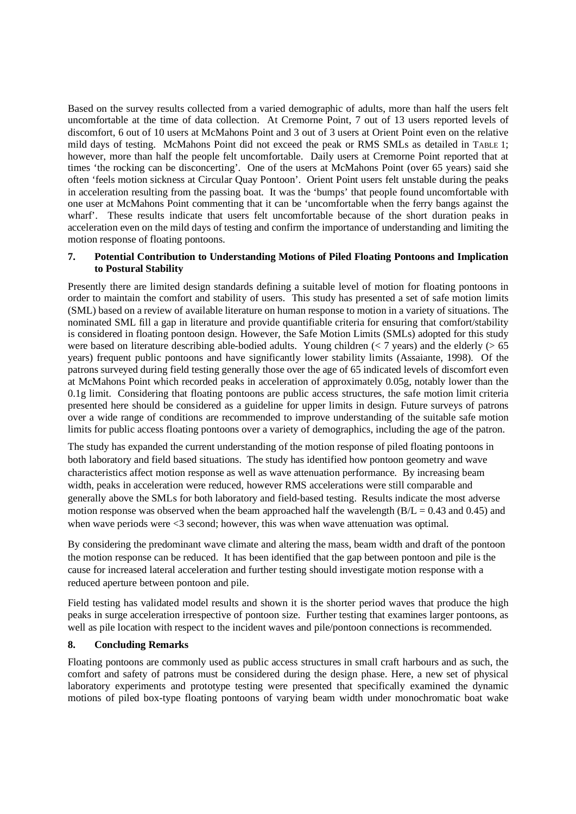Based on the survey results collected from a varied demographic of adults, more than half the users felt uncomfortable at the time of data collection. At Cremorne Point, 7 out of 13 users reported levels of discomfort, 6 out of 10 users at McMahons Point and 3 out of 3 users at Orient Point even on the relative mild days of testing. McMahons Point did not exceed the peak or RMS SMLs as detailed in TABLE 1; however, more than half the people felt uncomfortable. Daily users at Cremorne Point reported that at times 'the rocking can be disconcerting'. One of the users at McMahons Point (over 65 years) said she often 'feels motion sickness at Circular Quay Pontoon'. Orient Point users felt unstable during the peaks in acceleration resulting from the passing boat. It was the 'bumps' that people found uncomfortable with one user at McMahons Point commenting that it can be 'uncomfortable when the ferry bangs against the wharf'. These results indicate that users felt uncomfortable because of the short duration peaks in acceleration even on the mild days of testing and confirm the importance of understanding and limiting the motion response of floating pontoons.

# **7. Potential Contribution to Understanding Motions of Piled Floating Pontoons and Implication to Postural Stability**

Presently there are limited design standards defining a suitable level of motion for floating pontoons in order to maintain the comfort and stability of users. This study has presented a set of safe motion limits (SML) based on a review of available literature on human response to motion in a variety of situations. The nominated SML fill a gap in literature and provide quantifiable criteria for ensuring that comfort/stability is considered in floating pontoon design. However, the Safe Motion Limits (SMLs) adopted for this study were based on literature describing able-bodied adults. Young children ( $\lt 7$  years) and the elderly ( $> 65$ years) frequent public pontoons and have significantly lower stability limits (Assaiante, 1998). Of the patrons surveyed during field testing generally those over the age of 65 indicated levels of discomfort even at McMahons Point which recorded peaks in acceleration of approximately 0.05g, notably lower than the 0.1g limit. Considering that floating pontoons are public access structures, the safe motion limit criteria presented here should be considered as a guideline for upper limits in design. Future surveys of patrons over a wide range of conditions are recommended to improve understanding of the suitable safe motion limits for public access floating pontoons over a variety of demographics, including the age of the patron.

The study has expanded the current understanding of the motion response of piled floating pontoons in both laboratory and field based situations. The study has identified how pontoon geometry and wave characteristics affect motion response as well as wave attenuation performance. By increasing beam width, peaks in acceleration were reduced, however RMS accelerations were still comparable and generally above the SMLs for both laboratory and field-based testing. Results indicate the most adverse motion response was observed when the beam approached half the wavelength  $(B/L = 0.43$  and  $(0.45)$  and when wave periods were  $\leq$ 3 second; however, this was when wave attenuation was optimal.

By considering the predominant wave climate and altering the mass, beam width and draft of the pontoon the motion response can be reduced. It has been identified that the gap between pontoon and pile is the cause for increased lateral acceleration and further testing should investigate motion response with a reduced aperture between pontoon and pile.

Field testing has validated model results and shown it is the shorter period waves that produce the high peaks in surge acceleration irrespective of pontoon size. Further testing that examines larger pontoons, as well as pile location with respect to the incident waves and pile/pontoon connections is recommended.

# **8. Concluding Remarks**

Floating pontoons are commonly used as public access structures in small craft harbours and as such, the comfort and safety of patrons must be considered during the design phase. Here, a new set of physical laboratory experiments and prototype testing were presented that specifically examined the dynamic motions of piled box-type floating pontoons of varying beam width under monochromatic boat wake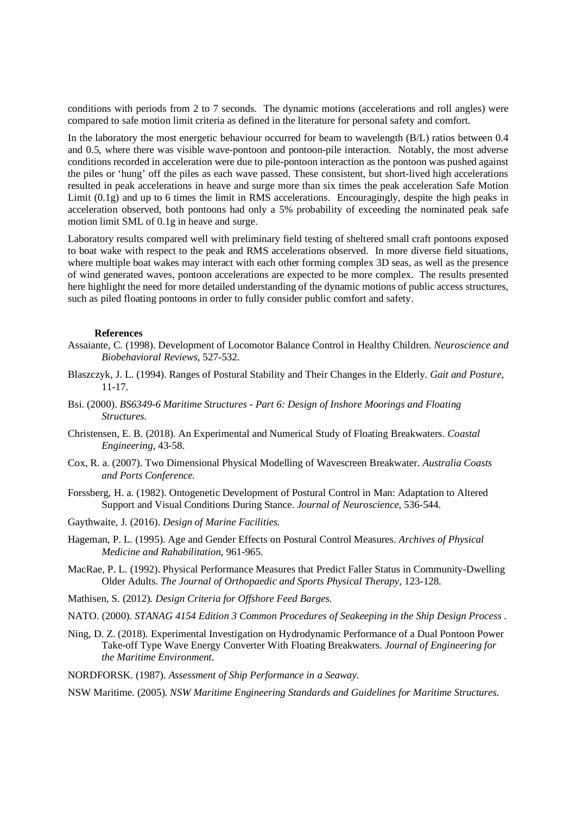conditions with periods from 2 to 7 seconds. The dynamic motions (accelerations and roll angles) were compared to safe motion limit criteria as defined in the literature for personal safety and comfort.

In the laboratory the most energetic behaviour occurred for beam to wavelength (B/L) ratios between 0.4 and 0.5, where there was visible wave-pontoon and pontoon-pile interaction. Notably, the most adverse conditions recorded in acceleration were due to pile-pontoon interaction as the pontoon was pushed against the piles or 'hung' off the piles as each wave passed. These consistent, but short-lived high accelerations resulted in peak accelerations in heave and surge more than six times the peak acceleration Safe Motion Limit  $(0.1g)$  and up to 6 times the limit in RMS accelerations. Encouragingly, despite the high peaks in acceleration observed, both pontoons had only a 5% probability of exceeding the nominated peak safe motion limit SML of 0.1g in heave and surge.

Laboratory results compared well with preliminary field testing of sheltered small craft pontoons exposed to boat wake with respect to the peak and RMS accelerations observed. In more diverse field situations, where multiple boat wakes may interact with each other forming complex 3D seas, as well as the presence of wind generated waves, pontoon accelerations are expected to be more complex. The results presented here highlight the need for more detailed understanding of the dynamic motions of public access structures, such as piled floating pontoons in order to fully consider public comfort and safety.

#### **References**

- Assaiante, C. (1998). Development of Locomotor Balance Control in Healthy Children. *Neuroscience and Biobehavioral Reviews*, 527-532.
- Blaszczyk, J. L. (1994). Ranges of Postural Stability and Their Changes in the Elderly. *Gait and Posture*, 11-17.
- Bsi. (2000). *BS6349-6 Maritime Structures Part 6: Design of Inshore Moorings and Floating Structures.*
- Christensen, E. B. (2018). An Experimental and Numerical Study of Floating Breakwaters. *Coastal Engineering*, 43-58.
- Cox, R. a. (2007). Two Dimensional Physical Modelling of Wavescreen Breakwater. *Australia Coasts and Ports Conference.*
- Forssberg, H. a. (1982). Ontogenetic Development of Postural Control in Man: Adaptation to Altered Support and Visual Conditions During Stance. *Journal of Neuroscience*, 536-544.
- Gaythwaite, J. (2016). *Design of Marine Facilities.*
- Hageman, P. L. (1995). Age and Gender Effects on Postural Control Measures. *Archives of Physical Medicine and Rahabilitation*, 961-965.
- MacRae, P. L. (1992). Physical Performance Measures that Predict Faller Status in Community-Dwelling Older Adults. *The Journal of Orthopaedic and Sports Physical Therapy*, 123-128.
- Mathisen, S. (2012). *Design Criteria for Offshore Feed Barges.*
- NATO. (2000). *STANAG 4154 Edition 3 Common Procedures of Seakeeping in the Ship Design Process .*
- Ning, D. Z. (2018). Experimental Investigation on Hydrodynamic Performance of a Dual Pontoon Power Take-off Type Wave Energy Converter With Floating Breakwaters. *Journal of Engineering for the Maritime Environment*.
- NORDFORSK. (1987). *Assessment of Ship Performance in a Seaway.*

NSW Maritime. (2005). *NSW Maritime Engineering Standards and Guidelines for Maritime Structures.*